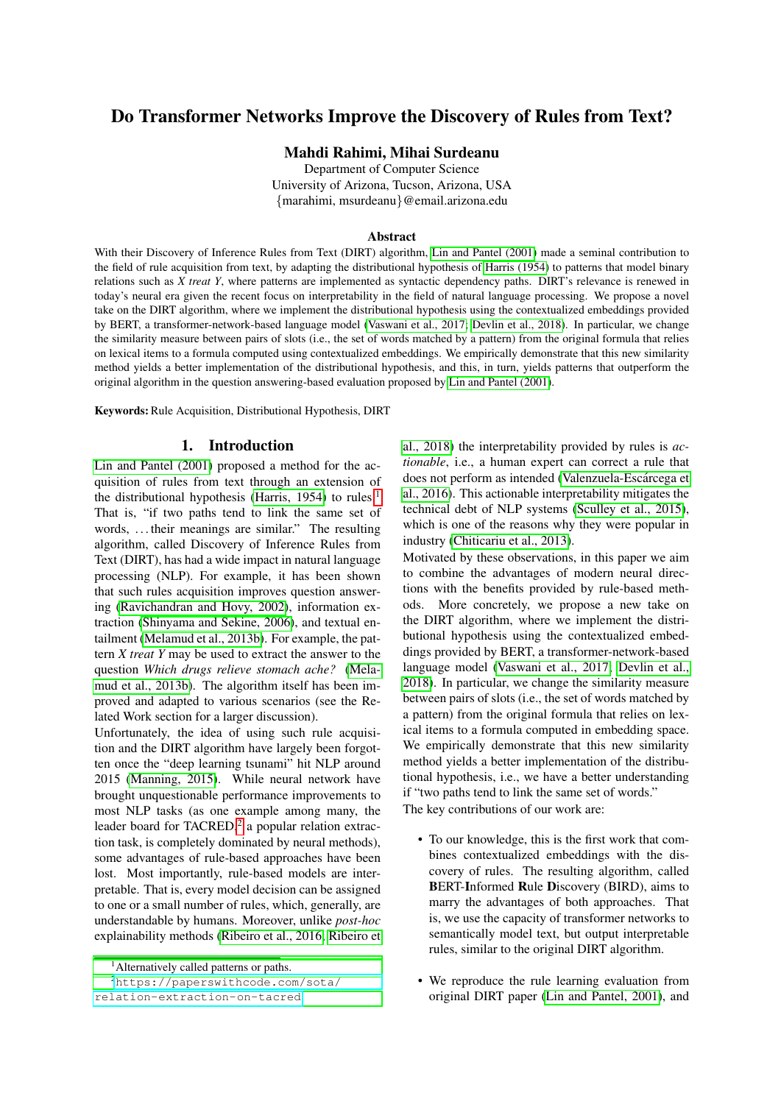# Do Transformer Networks Improve the Discovery of Rules from Text?

# Mahdi Rahimi, Mihai Surdeanu

Department of Computer Science University of Arizona, Tucson, Arizona, USA {marahimi, msurdeanu}@email.arizona.edu

### Abstract

With their Discovery of Inference Rules from Text (DIRT) algorithm, [Lin and Pantel \(2001\)](#page-7-0) made a seminal contribution to the field of rule acquisition from text, by adapting the distributional hypothesis of [Harris \(1954\)](#page-7-1) to patterns that model binary relations such as *X treat Y*, where patterns are implemented as syntactic dependency paths. DIRT's relevance is renewed in today's neural era given the recent focus on interpretability in the field of natural language processing. We propose a novel take on the DIRT algorithm, where we implement the distributional hypothesis using the contextualized embeddings provided by BERT, a transformer-network-based language model [\(Vaswani et al., 2017;](#page-8-0) [Devlin et al., 2018\)](#page-7-2). In particular, we change the similarity measure between pairs of slots (i.e., the set of words matched by a pattern) from the original formula that relies on lexical items to a formula computed using contextualized embeddings. We empirically demonstrate that this new similarity method yields a better implementation of the distributional hypothesis, and this, in turn, yields patterns that outperform the original algorithm in the question answering-based evaluation proposed by [Lin and Pantel \(2001\)](#page-7-0).

Keywords: Rule Acquisition, Distributional Hypothesis, DIRT

# 1. Introduction

[Lin and Pantel \(2001\)](#page-7-0) proposed a method for the acquisition of rules from text through an extension of the distributional hypothesis [\(Harris, 1954\)](#page-7-1) to rules.<sup>[1](#page-0-0)</sup> That is, "if two paths tend to link the same set of words, . . . their meanings are similar." The resulting algorithm, called Discovery of Inference Rules from Text (DIRT), has had a wide impact in natural language processing (NLP). For example, it has been shown that such rules acquisition improves question answering [\(Ravichandran and Hovy, 2002\)](#page-7-3), information extraction [\(Shinyama and Sekine, 2006\)](#page-7-4), and textual entailment [\(Melamud et al., 2013b\)](#page-7-5). For example, the pattern *X treat Y* may be used to extract the answer to the question *Which drugs relieve stomach ache?* [\(Mela](#page-7-5)[mud et al., 2013b\)](#page-7-5). The algorithm itself has been improved and adapted to various scenarios (see the Related Work section for a larger discussion).

Unfortunately, the idea of using such rule acquisition and the DIRT algorithm have largely been forgotten once the "deep learning tsunami" hit NLP around 2015 [\(Manning, 2015\)](#page-7-6). While neural network have brought unquestionable performance improvements to most NLP tasks (as one example among many, the leader board for TACRED,<sup>[2](#page-0-1)</sup> a popular relation extraction task, is completely dominated by neural methods), some advantages of rule-based approaches have been lost. Most importantly, rule-based models are interpretable. That is, every model decision can be assigned to one or a small number of rules, which, generally, are understandable by humans. Moreover, unlike *post-hoc* explainability methods [\(Ribeiro et al., 2016;](#page-7-7) [Ribeiro et](#page-7-8)

<sup>2</sup>[https://paperswithcode.com/sota/](#page-7-8) [relation-extraction-on-tacred](#page-7-8)

[al., 2018\)](#page-7-8) the interpretability provided by rules is *actionable*, i.e., a human expert can correct a rule that does not perform as intended (Valenzuela-Escárcega et [al., 2016\)](#page-8-1). This actionable interpretability mitigates the technical debt of NLP systems [\(Sculley et al., 2015\)](#page-7-9), which is one of the reasons why they were popular in industry [\(Chiticariu et al., 2013\)](#page-7-10).

Motivated by these observations, in this paper we aim to combine the advantages of modern neural directions with the benefits provided by rule-based methods. More concretely, we propose a new take on the DIRT algorithm, where we implement the distributional hypothesis using the contextualized embeddings provided by BERT, a transformer-network-based language model [\(Vaswani et al., 2017;](#page-8-0) [Devlin et al.,](#page-7-2) [2018\)](#page-7-2). In particular, we change the similarity measure between pairs of slots (i.e., the set of words matched by a pattern) from the original formula that relies on lexical items to a formula computed in embedding space. We empirically demonstrate that this new similarity method yields a better implementation of the distributional hypothesis, i.e., we have a better understanding if "two paths tend to link the same set of words." The key contributions of our work are:

- To our knowledge, this is the first work that combines contextualized embeddings with the discovery of rules. The resulting algorithm, called BERT-Informed Rule Discovery (BIRD), aims to marry the advantages of both approaches. That is, we use the capacity of transformer networks to semantically model text, but output interpretable rules, similar to the original DIRT algorithm.
- We reproduce the rule learning evaluation from original DIRT paper [\(Lin and Pantel, 2001\)](#page-7-0), and

<span id="page-0-1"></span><span id="page-0-0"></span><sup>&</sup>lt;sup>1</sup> [Alternatively called patterns or paths.](#page-7-8)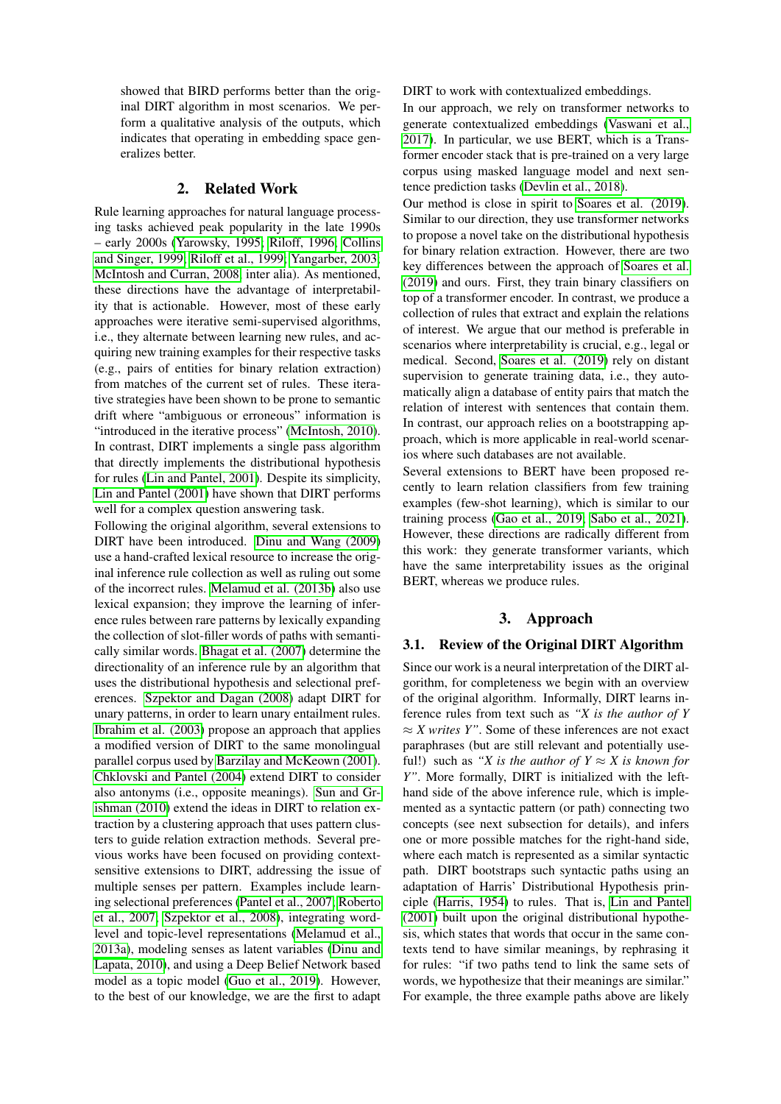showed that BIRD performs better than the original DIRT algorithm in most scenarios. We perform a qualitative analysis of the outputs, which indicates that operating in embedding space generalizes better.

# 2. Related Work

Rule learning approaches for natural language processing tasks achieved peak popularity in the late 1990s – early 2000s [\(Yarowsky, 1995;](#page-8-2) [Riloff, 1996;](#page-7-11) [Collins](#page-7-12) [and Singer, 1999;](#page-7-12) [Riloff et al., 1999;](#page-7-13) [Yangarber, 2003;](#page-8-3) [McIntosh and Curran, 2008,](#page-7-14) inter alia). As mentioned, these directions have the advantage of interpretability that is actionable. However, most of these early approaches were iterative semi-supervised algorithms, i.e., they alternate between learning new rules, and acquiring new training examples for their respective tasks (e.g., pairs of entities for binary relation extraction) from matches of the current set of rules. These iterative strategies have been shown to be prone to semantic drift where "ambiguous or erroneous" information is "introduced in the iterative process" [\(McIntosh, 2010\)](#page-7-15). In contrast, DIRT implements a single pass algorithm that directly implements the distributional hypothesis for rules [\(Lin and Pantel, 2001\)](#page-7-0). Despite its simplicity, [Lin and Pantel \(2001\)](#page-7-0) have shown that DIRT performs well for a complex question answering task.

Following the original algorithm, several extensions to DIRT have been introduced. [Dinu and Wang \(2009\)](#page-7-16) use a hand-crafted lexical resource to increase the original inference rule collection as well as ruling out some of the incorrect rules. [Melamud et al. \(2013b\)](#page-7-5) also use lexical expansion; they improve the learning of inference rules between rare patterns by lexically expanding the collection of slot-filler words of paths with semantically similar words. [Bhagat et al. \(2007\)](#page-7-17) determine the directionality of an inference rule by an algorithm that uses the distributional hypothesis and selectional preferences. [Szpektor and Dagan \(2008\)](#page-8-4) adapt DIRT for unary patterns, in order to learn unary entailment rules. [Ibrahim et al. \(2003\)](#page-7-18) propose an approach that applies a modified version of DIRT to the same monolingual parallel corpus used by [Barzilay and McKeown \(2001\)](#page-6-0). [Chklovski and Pantel \(2004\)](#page-7-19) extend DIRT to consider also antonyms (i.e., opposite meanings). [Sun and Gr](#page-7-20)[ishman \(2010\)](#page-7-20) extend the ideas in DIRT to relation extraction by a clustering approach that uses pattern clusters to guide relation extraction methods. Several previous works have been focused on providing contextsensitive extensions to DIRT, addressing the issue of multiple senses per pattern. Examples include learning selectional preferences [\(Pantel et al., 2007;](#page-7-21) [Roberto](#page-7-22) [et al., 2007;](#page-7-22) [Szpektor et al., 2008\)](#page-8-5), integrating wordlevel and topic-level representations [\(Melamud et al.,](#page-7-23) [2013a\)](#page-7-23), modeling senses as latent variables [\(Dinu and](#page-7-24) [Lapata, 2010\)](#page-7-24), and using a Deep Belief Network based model as a topic model [\(Guo et al., 2019\)](#page-7-25). However, to the best of our knowledge, we are the first to adapt DIRT to work with contextualized embeddings.

In our approach, we rely on transformer networks to generate contextualized embeddings [\(Vaswani et al.,](#page-8-0) [2017\)](#page-8-0). In particular, we use BERT, which is a Transformer encoder stack that is pre-trained on a very large corpus using masked language model and next sentence prediction tasks [\(Devlin et al., 2018\)](#page-7-2).

Our method is close in spirit to [Soares et al. \(2019\)](#page-7-26). Similar to our direction, they use transformer networks to propose a novel take on the distributional hypothesis for binary relation extraction. However, there are two key differences between the approach of [Soares et al.](#page-7-26) [\(2019\)](#page-7-26) and ours. First, they train binary classifiers on top of a transformer encoder. In contrast, we produce a collection of rules that extract and explain the relations of interest. We argue that our method is preferable in scenarios where interpretability is crucial, e.g., legal or medical. Second, [Soares et al. \(2019\)](#page-7-26) rely on distant supervision to generate training data, i.e., they automatically align a database of entity pairs that match the relation of interest with sentences that contain them. In contrast, our approach relies on a bootstrapping approach, which is more applicable in real-world scenarios where such databases are not available.

Several extensions to BERT have been proposed recently to learn relation classifiers from few training examples (few-shot learning), which is similar to our training process [\(Gao et al., 2019;](#page-7-27) [Sabo et al., 2021\)](#page-7-28). However, these directions are radically different from this work: they generate transformer variants, which have the same interpretability issues as the original BERT, whereas we produce rules.

# 3. Approach

### 3.1. Review of the Original DIRT Algorithm

Since our work is a neural interpretation of the DIRT algorithm, for completeness we begin with an overview of the original algorithm. Informally, DIRT learns inference rules from text such as *"X is the author of Y* ≈ *X writes Y"*. Some of these inferences are not exact paraphrases (but are still relevant and potentially useful!) such as "*X* is the author of  $Y \approx X$  is known for *Y"*. More formally, DIRT is initialized with the lefthand side of the above inference rule, which is implemented as a syntactic pattern (or path) connecting two concepts (see next subsection for details), and infers one or more possible matches for the right-hand side, where each match is represented as a similar syntactic path. DIRT bootstraps such syntactic paths using an adaptation of Harris' Distributional Hypothesis principle [\(Harris, 1954\)](#page-7-1) to rules. That is, [Lin and Pantel](#page-7-0) [\(2001\)](#page-7-0) built upon the original distributional hypothesis, which states that words that occur in the same contexts tend to have similar meanings, by rephrasing it for rules: "if two paths tend to link the same sets of words, we hypothesize that their meanings are similar." For example, the three example paths above are likely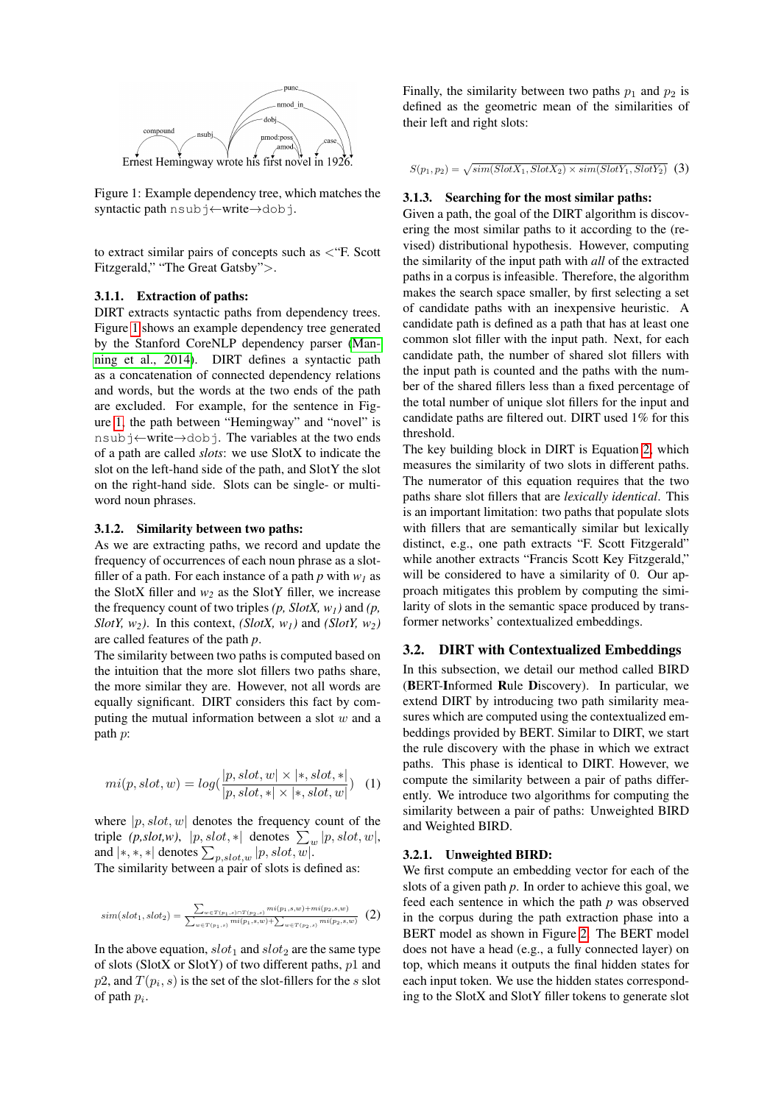

<span id="page-2-0"></span>Figure 1: Example dependency tree, which matches the syntactic path nsubj←write→dobj.

to extract similar pairs of concepts such as <"F. Scott Fitzgerald," "The Great Gatsby">.

#### 3.1.1. Extraction of paths:

DIRT extracts syntactic paths from dependency trees. Figure [1](#page-2-0) shows an example dependency tree generated by the Stanford CoreNLP dependency parser [\(Man](#page-7-29)[ning et al., 2014\)](#page-7-29). DIRT defines a syntactic path as a concatenation of connected dependency relations and words, but the words at the two ends of the path are excluded. For example, for the sentence in Figure [1,](#page-2-0) the path between "Hemingway" and "novel" is nsubj←write→dobj. The variables at the two ends of a path are called *slots*: we use SlotX to indicate the slot on the left-hand side of the path, and SlotY the slot on the right-hand side. Slots can be single- or multiword noun phrases.

#### 3.1.2. Similarity between two paths:

As we are extracting paths, we record and update the frequency of occurrences of each noun phrase as a slotfiller of a path. For each instance of a path  $p$  with  $w_1$  as the SlotX filler and  $w_2$  as the SlotY filler, we increase the frequency count of two triples  $(p, SlotX, w_1)$  and  $(p,$ *SlotY, w*<sub>2</sub>*)*. In this context, *(SlotX, w<sub>1</sub>)* and *(SlotY, w*<sub>2</sub>*)* are called features of the path *p*.

The similarity between two paths is computed based on the intuition that the more slot fillers two paths share, the more similar they are. However, not all words are equally significant. DIRT considers this fact by computing the mutual information between a slot  $w$  and a path p:

<span id="page-2-2"></span>
$$
mi(p, slot, w) = log(\frac{|p, slot, w| \times |*, slot, *|}{|p, slot, *| \times |*, slot, w|})
$$
 (1)

where  $|p, slot, w|$  denotes the frequency count of the triple *(p,slot,w)*,  $|p, slot, *|$  denotes  $\sum_{w} |p, slot, w|$ , and  $|*,*,*|$  denotes  $\sum_{p,slot,w} |p, slot, w|$ . The similarity between a pair of slots is defined as:

<span id="page-2-1"></span>
$$
sim(slot_1, slot_2) = \frac{\sum_{w \in T(p_1, s) \cap T(p_2, s)} mi(p_1, s, w) + mi(p_2, s, w)}{\sum_{w \in T(p_1, s)} mi(p_1, s, w) + \sum_{w \in T(p_2, s)} mi(p_2, s, w)} \tag{2}
$$

In the above equation,  $slot_1$  and  $slot_2$  are the same type of slots (SlotX or SlotY) of two different paths,  $p1$  and  $p2$ , and  $T(p_i, s)$  is the set of the slot-fillers for the s slot of path  $p_i$ .

Finally, the similarity between two paths  $p_1$  and  $p_2$  is defined as the geometric mean of the similarities of their left and right slots:

 $S(p_1, p_2) = \sqrt{sim(SlotX_1, SlotX_2) \times sim(SlotY_1, SlotY_2)}$  (3)

#### 3.1.3. Searching for the most similar paths:

Given a path, the goal of the DIRT algorithm is discovering the most similar paths to it according to the (revised) distributional hypothesis. However, computing the similarity of the input path with *all* of the extracted paths in a corpus is infeasible. Therefore, the algorithm makes the search space smaller, by first selecting a set of candidate paths with an inexpensive heuristic. A candidate path is defined as a path that has at least one common slot filler with the input path. Next, for each candidate path, the number of shared slot fillers with the input path is counted and the paths with the number of the shared fillers less than a fixed percentage of the total number of unique slot fillers for the input and candidate paths are filtered out. DIRT used 1% for this threshold.

The key building block in DIRT is Equation [2,](#page-2-1) which measures the similarity of two slots in different paths. The numerator of this equation requires that the two paths share slot fillers that are *lexically identical*. This is an important limitation: two paths that populate slots with fillers that are semantically similar but lexically distinct, e.g., one path extracts "F. Scott Fitzgerald" while another extracts "Francis Scott Key Fitzgerald," will be considered to have a similarity of 0. Our approach mitigates this problem by computing the similarity of slots in the semantic space produced by transformer networks' contextualized embeddings.

### 3.2. DIRT with Contextualized Embeddings

In this subsection, we detail our method called BIRD (BERT-Informed Rule Discovery). In particular, we extend DIRT by introducing two path similarity measures which are computed using the contextualized embeddings provided by BERT. Similar to DIRT, we start the rule discovery with the phase in which we extract paths. This phase is identical to DIRT. However, we compute the similarity between a pair of paths differently. We introduce two algorithms for computing the similarity between a pair of paths: Unweighted BIRD and Weighted BIRD.

#### 3.2.1. Unweighted BIRD:

We first compute an embedding vector for each of the slots of a given path *p*. In order to achieve this goal, we feed each sentence in which the path *p* was observed in the corpus during the path extraction phase into a BERT model as shown in Figure [2.](#page-3-0) The BERT model does not have a head (e.g., a fully connected layer) on top, which means it outputs the final hidden states for each input token. We use the hidden states corresponding to the SlotX and SlotY filler tokens to generate slot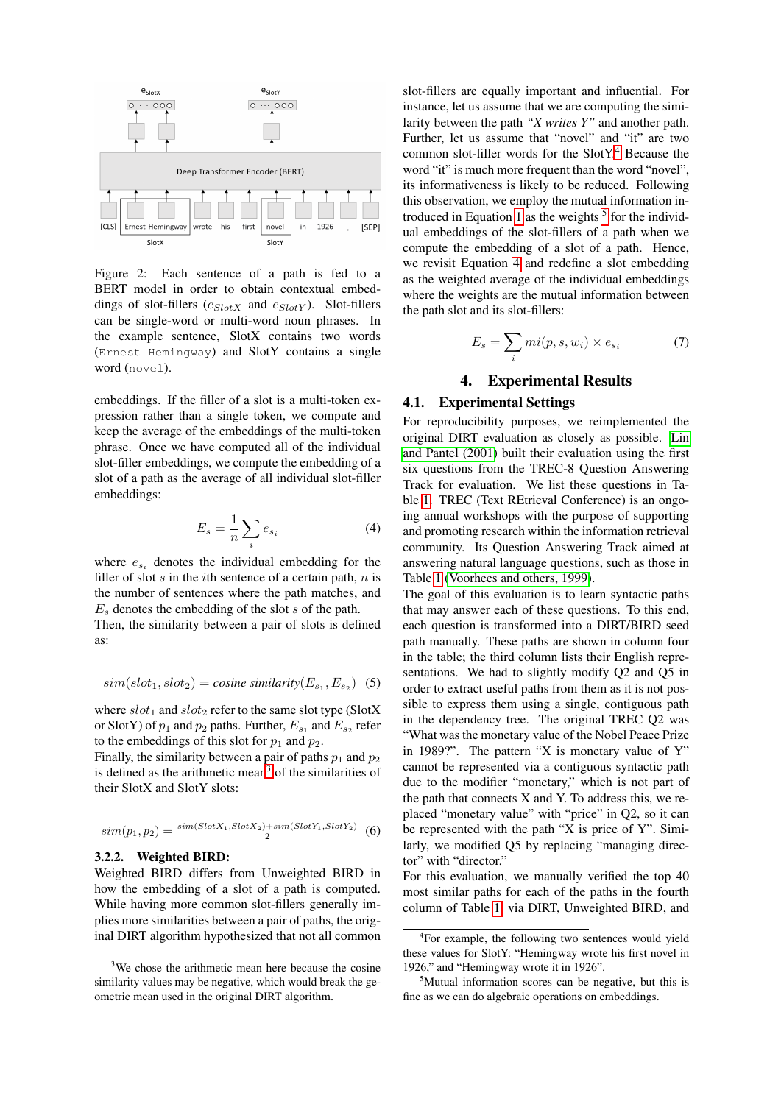

<span id="page-3-0"></span>Figure 2: Each sentence of a path is fed to a BERT model in order to obtain contextual embeddings of slot-fillers  $(e_{SlotX}$  and  $e_{SlotY}$ ). Slot-fillers can be single-word or multi-word noun phrases. In the example sentence, SlotX contains two words (Ernest Hemingway) and SlotY contains a single word (novel).

embeddings. If the filler of a slot is a multi-token expression rather than a single token, we compute and keep the average of the embeddings of the multi-token phrase. Once we have computed all of the individual slot-filler embeddings, we compute the embedding of a slot of a path as the average of all individual slot-filler embeddings:

<span id="page-3-4"></span>
$$
E_s = \frac{1}{n} \sum_i e_{s_i} \tag{4}
$$

where  $e_{s_i}$  denotes the individual embedding for the filler of slot  $s$  in the *i*th sentence of a certain path,  $n$  is the number of sentences where the path matches, and  $E<sub>s</sub>$  denotes the embedding of the slot s of the path.

Then, the similarity between a pair of slots is defined as:

$$
sim(slot_1, slot_2) = cosine\,similarity(E_{s_1}, E_{s_2})
$$
 (5)

where  $slot_1$  and  $slot_2$  refer to the same slot type (SlotX or SlotY) of  $p_1$  and  $p_2$  paths. Further,  $E_{s_1}$  and  $E_{s_2}$  refer to the embeddings of this slot for  $p_1$  and  $p_2$ .

Finally, the similarity between a pair of paths  $p_1$  and  $p_2$ is defined as the arithmetic mean<sup>[3](#page-3-1)</sup> of the similarities of their SlotX and SlotY slots:

$$
sim(p_1, p_2) = \frac{sim(SlotX_1, SlotX_2) + sim(SlotY_1, SlotY_2)}{2} \tag{6}
$$

#### 3.2.2. Weighted BIRD:

Weighted BIRD differs from Unweighted BIRD in how the embedding of a slot of a path is computed. While having more common slot-fillers generally implies more similarities between a pair of paths, the original DIRT algorithm hypothesized that not all common slot-fillers are equally important and influential. For instance, let us assume that we are computing the similarity between the path *"X writes Y"* and another path. Further, let us assume that "novel" and "it" are two common slot-filler words for the SlotY.[4](#page-3-2) Because the word "it" is much more frequent than the word "novel", its informativeness is likely to be reduced. Following this observation, we employ the mutual information in-troduced in Equation [1](#page-2-2) as the weights  $5$  for the individual embeddings of the slot-fillers of a path when we compute the embedding of a slot of a path. Hence, we revisit Equation [4](#page-3-4) and redefine a slot embedding as the weighted average of the individual embeddings where the weights are the mutual information between the path slot and its slot-fillers:

$$
E_s = \sum_i mi(p, s, w_i) \times e_{s_i} \tag{7}
$$

# 4. Experimental Results

# 4.1. Experimental Settings

For reproducibility purposes, we reimplemented the original DIRT evaluation as closely as possible. [Lin](#page-7-0) [and Pantel \(2001\)](#page-7-0) built their evaluation using the first six questions from the TREC-8 Question Answering Track for evaluation. We list these questions in Table [1.](#page-4-0) TREC (Text REtrieval Conference) is an ongoing annual workshops with the purpose of supporting and promoting research within the information retrieval community. Its Question Answering Track aimed at answering natural language questions, such as those in Table [1](#page-4-0) [\(Voorhees and others, 1999\)](#page-8-6).

The goal of this evaluation is to learn syntactic paths that may answer each of these questions. To this end, each question is transformed into a DIRT/BIRD seed path manually. These paths are shown in column four in the table; the third column lists their English representations. We had to slightly modify Q2 and Q5 in order to extract useful paths from them as it is not possible to express them using a single, contiguous path in the dependency tree. The original TREC Q2 was "What was the monetary value of the Nobel Peace Prize in 1989?". The pattern "X is monetary value of  $Y$ " cannot be represented via a contiguous syntactic path due to the modifier "monetary," which is not part of the path that connects  $X$  and  $Y$ . To address this, we replaced "monetary value" with "price" in Q2, so it can be represented with the path "X is price of Y". Similarly, we modified Q5 by replacing "managing director" with "director."

For this evaluation, we manually verified the top 40 most similar paths for each of the paths in the fourth column of Table [1,](#page-4-0) via DIRT, Unweighted BIRD, and

<span id="page-3-1"></span><sup>&</sup>lt;sup>3</sup>We chose the arithmetic mean here because the cosine similarity values may be negative, which would break the geometric mean used in the original DIRT algorithm.

<span id="page-3-2"></span><sup>4</sup> For example, the following two sentences would yield these values for SlotY: "Hemingway wrote his first novel in 1926," and "Hemingway wrote it in 1926".

<span id="page-3-3"></span><sup>&</sup>lt;sup>5</sup>Mutual information scores can be negative, but this is fine as we can do algebraic operations on embeddings.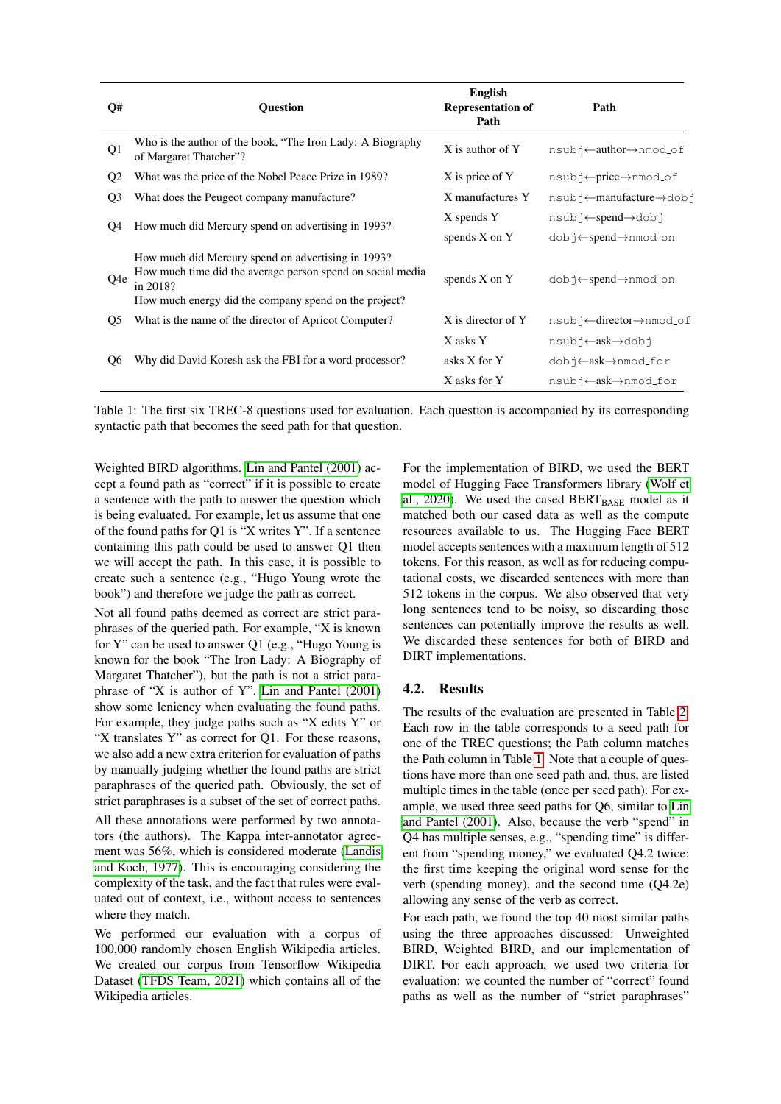| Q#             | <b>Ouestion</b>                                                                                                                                                                       | <b>English</b><br><b>Representation of</b><br>Path | Path                                                         |
|----------------|---------------------------------------------------------------------------------------------------------------------------------------------------------------------------------------|----------------------------------------------------|--------------------------------------------------------------|
| Q <sub>1</sub> | Who is the author of the book, "The Iron Lady: A Biography<br>of Margaret Thatcher"?                                                                                                  | X is author of Y                                   | nsubj←author→nmod_of                                         |
| Q <sub>2</sub> | What was the price of the Nobel Peace Prize in 1989?                                                                                                                                  | X is price of Y                                    | $nsub \rightarrow \leftarrow price \rightarrow nmod \circ f$ |
| Q <sub>3</sub> | What does the Peugeot company manufacture?                                                                                                                                            | X manufactures Y                                   | nsubj←manufacture→dobj                                       |
| Q4             | How much did Mercury spend on advertising in 1993?                                                                                                                                    | X spends Y                                         | nsubj←spend→dobj                                             |
|                |                                                                                                                                                                                       | spends $X$ on $Y$                                  | dobj←spend→nmod_on                                           |
| Q4e            | How much did Mercury spend on advertising in 1993?<br>How much time did the average person spend on social media<br>in 2018?<br>How much energy did the company spend on the project? | spends X on Y                                      | dobj←spend→nmod_on                                           |
| Q <sub>5</sub> | What is the name of the director of Apricot Computer?                                                                                                                                 | X is director of Y                                 | nsubj←director→nmod_of                                       |
|                |                                                                                                                                                                                       | X asks Y                                           | nsubj←ask→dobj                                               |
| O6             | Why did David Koresh ask the FBI for a word processor?                                                                                                                                | asks X for Y                                       | dobj←ask→nmod_for                                            |
|                |                                                                                                                                                                                       | X asks for Y                                       | $nsub \uparrow \leftarrow ask \rightarrow nmod\_for$         |

<span id="page-4-0"></span>Table 1: The first six TREC-8 questions used for evaluation. Each question is accompanied by its corresponding syntactic path that becomes the seed path for that question.

Weighted BIRD algorithms. [Lin and Pantel \(2001\)](#page-7-0) accept a found path as "correct" if it is possible to create a sentence with the path to answer the question which is being evaluated. For example, let us assume that one of the found paths for Q1 is "X writes Y". If a sentence containing this path could be used to answer Q1 then we will accept the path. In this case, it is possible to create such a sentence (e.g., "Hugo Young wrote the book") and therefore we judge the path as correct.

Not all found paths deemed as correct are strict paraphrases of the queried path. For example, "X is known for Y" can be used to answer Q1 (e.g., "Hugo Young is known for the book "The Iron Lady: A Biography of Margaret Thatcher"), but the path is not a strict paraphrase of "X is author of Y". [Lin and Pantel \(2001\)](#page-7-0) show some leniency when evaluating the found paths. For example, they judge paths such as "X edits Y" or "X translates Y" as correct for Q1. For these reasons, we also add a new extra criterion for evaluation of paths by manually judging whether the found paths are strict paraphrases of the queried path. Obviously, the set of strict paraphrases is a subset of the set of correct paths.

All these annotations were performed by two annotators (the authors). The Kappa inter-annotator agreement was 56%, which is considered moderate [\(Landis](#page-7-30) [and Koch, 1977\)](#page-7-30). This is encouraging considering the complexity of the task, and the fact that rules were evaluated out of context, i.e., without access to sentences where they match.

We performed our evaluation with a corpus of 100,000 randomly chosen English Wikipedia articles. We created our corpus from Tensorflow Wikipedia Dataset [\(TFDS Team, 2021\)](#page-8-7) which contains all of the Wikipedia articles.

For the implementation of BIRD, we used the BERT model of Hugging Face Transformers library [\(Wolf et](#page-8-8) [al., 2020\)](#page-8-8). We used the cased  $BERT_{BASE}$  model as it matched both our cased data as well as the compute resources available to us. The Hugging Face BERT model accepts sentences with a maximum length of 512 tokens. For this reason, as well as for reducing computational costs, we discarded sentences with more than 512 tokens in the corpus. We also observed that very long sentences tend to be noisy, so discarding those sentences can potentially improve the results as well. We discarded these sentences for both of BIRD and DIRT implementations.

# 4.2. Results

The results of the evaluation are presented in Table [2.](#page-5-0) Each row in the table corresponds to a seed path for one of the TREC questions; the Path column matches the Path column in Table [1.](#page-4-0) Note that a couple of questions have more than one seed path and, thus, are listed multiple times in the table (once per seed path). For example, we used three seed paths for Q6, similar to [Lin](#page-7-0) [and Pantel \(2001\)](#page-7-0). Also, because the verb "spend" in Q4 has multiple senses, e.g., "spending time" is different from "spending money," we evaluated Q4.2 twice: the first time keeping the original word sense for the verb (spending money), and the second time (Q4.2e) allowing any sense of the verb as correct.

For each path, we found the top 40 most similar paths using the three approaches discussed: Unweighted BIRD, Weighted BIRD, and our implementation of DIRT. For each approach, we used two criteria for evaluation: we counted the number of "correct" found paths as well as the number of "strict paraphrases"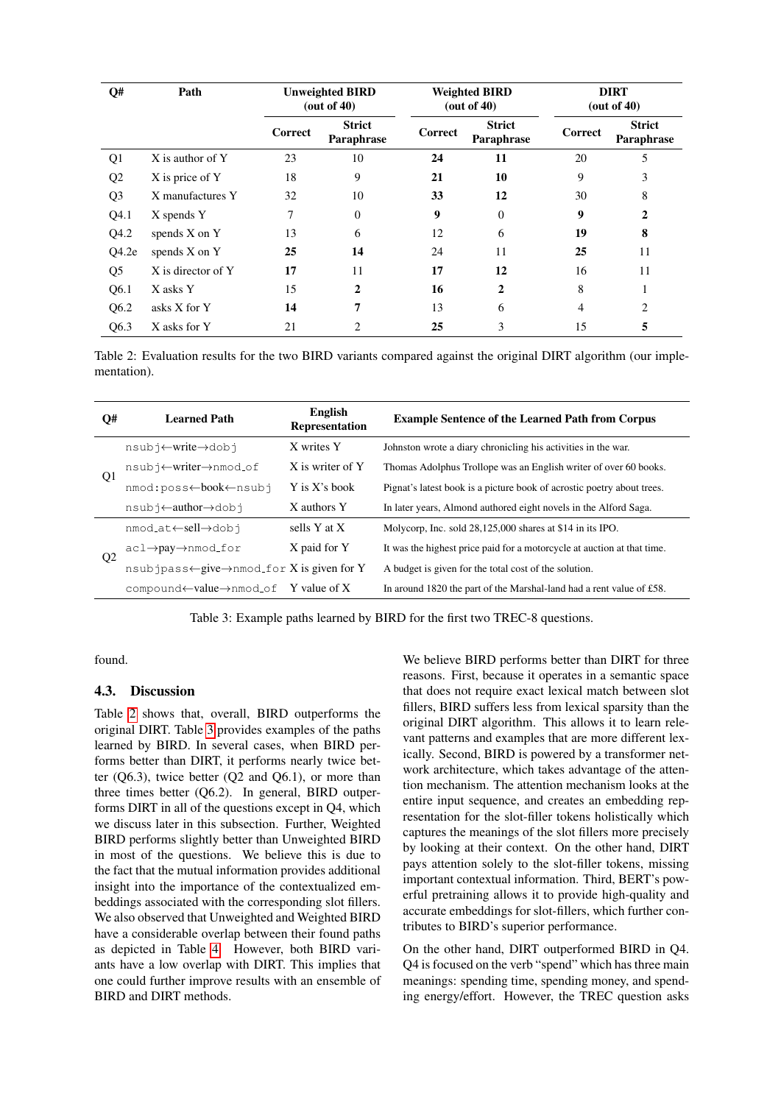| Q#               | Path               | <b>Unweighted BIRD</b><br>(out of $40$ ) |                             | <b>Weighted BIRD</b><br>(out of $40$ ) |                             | <b>DIRT</b><br>(out of $40$ ) |                             |
|------------------|--------------------|------------------------------------------|-----------------------------|----------------------------------------|-----------------------------|-------------------------------|-----------------------------|
|                  |                    | Correct                                  | <b>Strict</b><br>Paraphrase | Correct                                | <b>Strict</b><br>Paraphrase | Correct                       | <b>Strict</b><br>Paraphrase |
| Q1               | X is author of Y   | 23                                       | 10                          | 24                                     | 11                          | 20                            | 5                           |
| Q2               | X is price of Y    | 18                                       | 9                           | 21                                     | 10                          | 9                             | 3                           |
| Q <sub>3</sub>   | X manufactures Y   | 32                                       | 10                          | 33                                     | 12                          | 30                            | 8                           |
| Q4.1             | X spends Y         | 7                                        | $\Omega$                    | 9                                      | $\Omega$                    | 9                             | $\mathbf{2}$                |
| Q4.2             | spends X on Y      | 13                                       | 6                           | 12                                     | 6                           | 19                            | 8                           |
| Q4.2e            | spends $X$ on $Y$  | 25                                       | 14                          | 24                                     | 11                          | 25                            | 11                          |
| Q <sub>5</sub>   | X is director of Y | 17                                       | 11                          | 17                                     | 12                          | 16                            | 11                          |
| Q <sub>6.1</sub> | X asks Y           | 15                                       | $\mathbf{2}$                | 16                                     | $\mathbf{2}$                | 8                             | 1                           |
| Q <sub>6.2</sub> | asks X for Y       | 14                                       | 7                           | 13                                     | 6                           | $\overline{4}$                | 2                           |
| Q6.3             | X asks for Y       | 21                                       | 2                           | 25                                     | 3                           | 15                            | 5                           |

<span id="page-5-0"></span>Table 2: Evaluation results for the two BIRD variants compared against the original DIRT algorithm (our implementation).

| Q#             | <b>Learned Path</b>                                                    | English<br>Representation | <b>Example Sentence of the Learned Path from Corpus</b>                 |  |  |
|----------------|------------------------------------------------------------------------|---------------------------|-------------------------------------------------------------------------|--|--|
| Q1             | nsubj←write→dobj                                                       | X writes Y                | Johnston wrote a diary chronicling his activities in the war.           |  |  |
|                | nsubj←writer→nmod_of                                                   | X is writer of Y          | Thomas Adolphus Trollope was an English writer of over 60 books.        |  |  |
|                | Y is X's book<br>nmod:poss←book←nsubj                                  |                           | Pignat's latest book is a picture book of acrostic poetry about trees.  |  |  |
|                | nsubj←author→dobj                                                      | X authors Y               | In later years, Almond authored eight novels in the Alford Saga.        |  |  |
| Q <sub>2</sub> | sells Y at X<br>nmod_at←sell→dobj                                      |                           | Molycorp, Inc. sold 28,125,000 shares at \$14 in its IPO.               |  |  |
|                | X paid for Y<br>$ac1 \rightarrow pay \rightarrow nmod\_for$            |                           | It was the highest price paid for a motorcycle at auction at that time. |  |  |
|                | $n$ subjpass $\leftarrow$ give $\rightarrow$ nmod_for X is given for Y |                           | A budget is given for the total cost of the solution.                   |  |  |
|                | compound $\leftarrow$ value $\rightarrow$ nmod of Y value of X         |                           | In around 1820 the part of the Marshal-land had a rent value of £58.    |  |  |

<span id="page-5-1"></span>Table 3: Example paths learned by BIRD for the first two TREC-8 questions.

found.

#### 4.3. Discussion

Table [2](#page-5-0) shows that, overall, BIRD outperforms the original DIRT. Table [3](#page-5-1) provides examples of the paths learned by BIRD. In several cases, when BIRD performs better than DIRT, it performs nearly twice better  $(Q6.3)$ , twice better  $(Q2 \text{ and } Q6.1)$ , or more than three times better (Q6.2). In general, BIRD outperforms DIRT in all of the questions except in Q4, which we discuss later in this subsection. Further, Weighted BIRD performs slightly better than Unweighted BIRD in most of the questions. We believe this is due to the fact that the mutual information provides additional insight into the importance of the contextualized embeddings associated with the corresponding slot fillers. We also observed that Unweighted and Weighted BIRD have a considerable overlap between their found paths as depicted in Table [4.](#page-6-1) However, both BIRD variants have a low overlap with DIRT. This implies that one could further improve results with an ensemble of BIRD and DIRT methods.

We believe BIRD performs better than DIRT for three reasons. First, because it operates in a semantic space that does not require exact lexical match between slot fillers, BIRD suffers less from lexical sparsity than the original DIRT algorithm. This allows it to learn relevant patterns and examples that are more different lexically. Second, BIRD is powered by a transformer network architecture, which takes advantage of the attention mechanism. The attention mechanism looks at the entire input sequence, and creates an embedding representation for the slot-filler tokens holistically which captures the meanings of the slot fillers more precisely by looking at their context. On the other hand, DIRT pays attention solely to the slot-filler tokens, missing important contextual information. Third, BERT's powerful pretraining allows it to provide high-quality and accurate embeddings for slot-fillers, which further contributes to BIRD's superior performance.

On the other hand, DIRT outperformed BIRD in Q4. Q4 is focused on the verb "spend" which has three main meanings: spending time, spending money, and spending energy/effort. However, the TREC question asks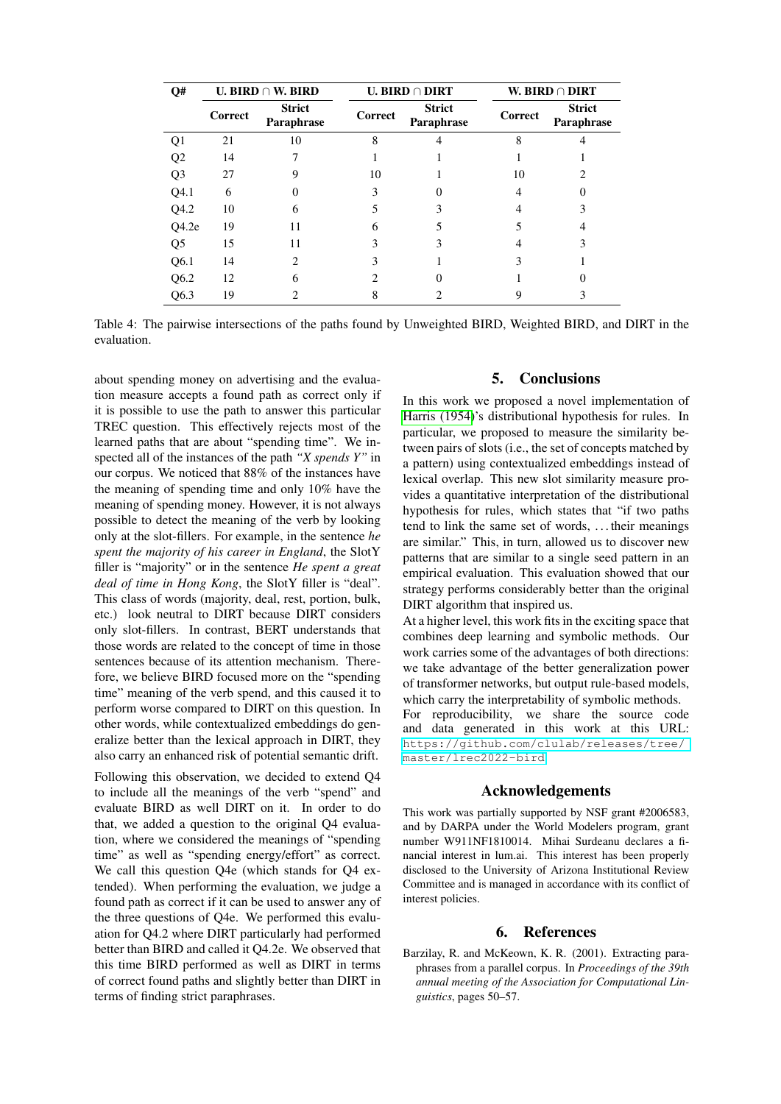| Q#               | U. BIRD $\cap$ W. BIRD |                             | <b>U. BIRD</b> $\cap$ <b>DIRT</b> |                             | W. BIRD $\cap$ DIRT |                             |
|------------------|------------------------|-----------------------------|-----------------------------------|-----------------------------|---------------------|-----------------------------|
|                  | Correct                | <b>Strict</b><br>Paraphrase | Correct                           | <b>Strict</b><br>Paraphrase | Correct             | <b>Strict</b><br>Paraphrase |
| Q1               | 21                     | 10                          | 8                                 |                             | 8                   |                             |
| Q <sub>2</sub>   | 14                     |                             |                                   |                             |                     |                             |
| Q <sub>3</sub>   | 27                     | 9                           | 10                                |                             | 10                  |                             |
| Q4.1             | 6                      |                             | 3                                 |                             |                     |                             |
| Q4.2             | 10                     | 6                           |                                   |                             |                     |                             |
| Q4.2e            | 19                     | 11                          | 6                                 |                             |                     |                             |
| Q <sub>5</sub>   | 15                     | 11                          |                                   |                             |                     | 3                           |
| Q <sub>6.1</sub> | 14                     | 2                           |                                   |                             |                     |                             |
| Q <sub>6.2</sub> | 12                     | 6                           |                                   |                             |                     |                             |
| Q6.3             | 19                     |                             |                                   |                             |                     |                             |

<span id="page-6-1"></span>Table 4: The pairwise intersections of the paths found by Unweighted BIRD, Weighted BIRD, and DIRT in the evaluation.

about spending money on advertising and the evaluation measure accepts a found path as correct only if it is possible to use the path to answer this particular TREC question. This effectively rejects most of the learned paths that are about "spending time". We inspected all of the instances of the path *"X spends Y"* in our corpus. We noticed that 88% of the instances have the meaning of spending time and only 10% have the meaning of spending money. However, it is not always possible to detect the meaning of the verb by looking only at the slot-fillers. For example, in the sentence *he spent the majority of his career in England*, the SlotY filler is "majority" or in the sentence *He spent a great deal of time in Hong Kong*, the SlotY filler is "deal". This class of words (majority, deal, rest, portion, bulk, etc.) look neutral to DIRT because DIRT considers only slot-fillers. In contrast, BERT understands that those words are related to the concept of time in those sentences because of its attention mechanism. Therefore, we believe BIRD focused more on the "spending time" meaning of the verb spend, and this caused it to perform worse compared to DIRT on this question. In other words, while contextualized embeddings do generalize better than the lexical approach in DIRT, they also carry an enhanced risk of potential semantic drift.

Following this observation, we decided to extend Q4 to include all the meanings of the verb "spend" and evaluate BIRD as well DIRT on it. In order to do that, we added a question to the original Q4 evaluation, where we considered the meanings of "spending time" as well as "spending energy/effort" as correct. We call this question Q4e (which stands for Q4 extended). When performing the evaluation, we judge a found path as correct if it can be used to answer any of the three questions of Q4e. We performed this evaluation for Q4.2 where DIRT particularly had performed better than BIRD and called it Q4.2e. We observed that this time BIRD performed as well as DIRT in terms of correct found paths and slightly better than DIRT in terms of finding strict paraphrases.

# 5. Conclusions

In this work we proposed a novel implementation of [Harris \(1954\)](#page-7-1)'s distributional hypothesis for rules. In particular, we proposed to measure the similarity between pairs of slots (i.e., the set of concepts matched by a pattern) using contextualized embeddings instead of lexical overlap. This new slot similarity measure provides a quantitative interpretation of the distributional hypothesis for rules, which states that "if two paths tend to link the same set of words, . . . their meanings are similar." This, in turn, allowed us to discover new patterns that are similar to a single seed pattern in an empirical evaluation. This evaluation showed that our strategy performs considerably better than the original DIRT algorithm that inspired us.

At a higher level, this work fits in the exciting space that combines deep learning and symbolic methods. Our work carries some of the advantages of both directions: we take advantage of the better generalization power of transformer networks, but output rule-based models, which carry the interpretability of symbolic methods. For reproducibility, we share the source code and data generated in this work at this URL: [https://github.com/clulab/releases/tree/]( https://github.com/clulab/releases/tree/master/lrec2022-bird)

#### Acknowledgements

[master/lrec2022-bird]( https://github.com/clulab/releases/tree/master/lrec2022-bird).

This work was partially supported by NSF grant #2006583, and by DARPA under the World Modelers program, grant number W911NF1810014. Mihai Surdeanu declares a financial interest in lum.ai. This interest has been properly disclosed to the University of Arizona Institutional Review Committee and is managed in accordance with its conflict of interest policies.

### 6. References

<span id="page-6-0"></span>Barzilay, R. and McKeown, K. R. (2001). Extracting paraphrases from a parallel corpus. In *Proceedings of the 39th annual meeting of the Association for Computational Linguistics*, pages 50–57.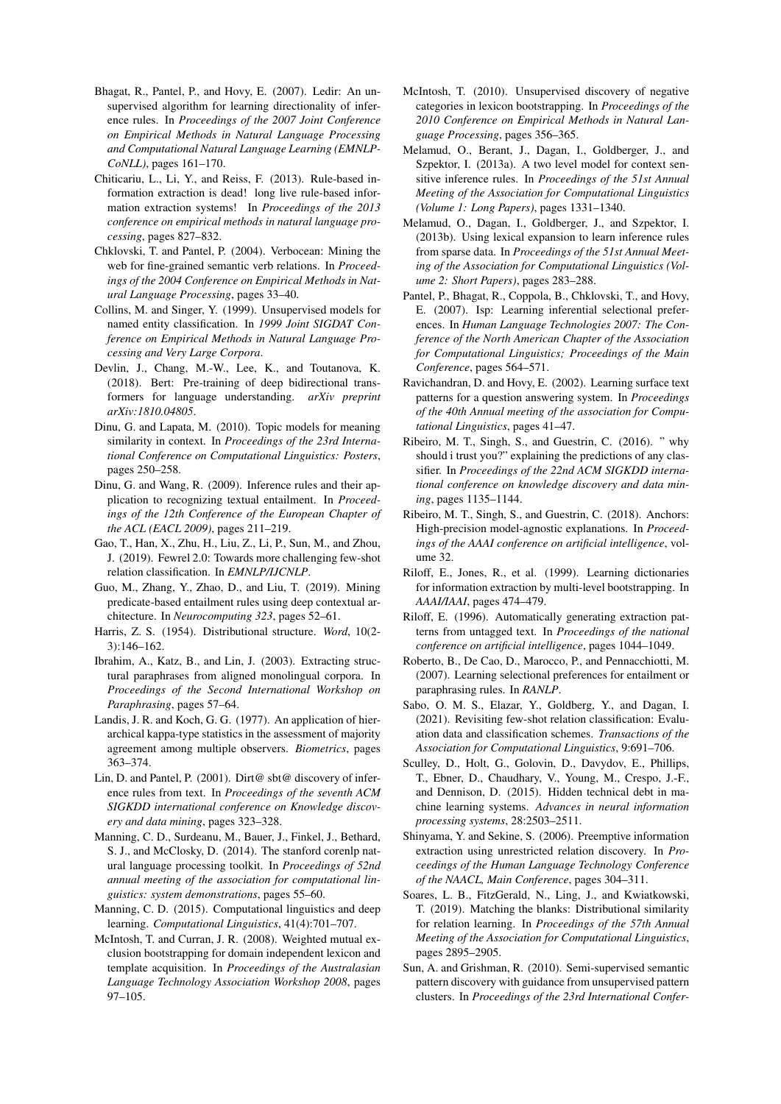- <span id="page-7-17"></span>Bhagat, R., Pantel, P., and Hovy, E. (2007). Ledir: An unsupervised algorithm for learning directionality of inference rules. In *Proceedings of the 2007 Joint Conference on Empirical Methods in Natural Language Processing and Computational Natural Language Learning (EMNLP-CoNLL)*, pages 161–170.
- <span id="page-7-10"></span>Chiticariu, L., Li, Y., and Reiss, F. (2013). Rule-based information extraction is dead! long live rule-based information extraction systems! In *Proceedings of the 2013 conference on empirical methods in natural language processing*, pages 827–832.
- <span id="page-7-19"></span>Chklovski, T. and Pantel, P. (2004). Verbocean: Mining the web for fine-grained semantic verb relations. In *Proceedings of the 2004 Conference on Empirical Methods in Natural Language Processing*, pages 33–40.
- <span id="page-7-12"></span>Collins, M. and Singer, Y. (1999). Unsupervised models for named entity classification. In *1999 Joint SIGDAT Conference on Empirical Methods in Natural Language Processing and Very Large Corpora*.
- <span id="page-7-2"></span>Devlin, J., Chang, M.-W., Lee, K., and Toutanova, K. (2018). Bert: Pre-training of deep bidirectional transformers for language understanding. *arXiv preprint arXiv:1810.04805*.
- <span id="page-7-24"></span>Dinu, G. and Lapata, M. (2010). Topic models for meaning similarity in context. In *Proceedings of the 23rd International Conference on Computational Linguistics: Posters*, pages 250–258.
- <span id="page-7-16"></span>Dinu, G. and Wang, R. (2009). Inference rules and their application to recognizing textual entailment. In *Proceedings of the 12th Conference of the European Chapter of the ACL (EACL 2009)*, pages 211–219.
- <span id="page-7-27"></span>Gao, T., Han, X., Zhu, H., Liu, Z., Li, P., Sun, M., and Zhou, J. (2019). Fewrel 2.0: Towards more challenging few-shot relation classification. In *EMNLP/IJCNLP*.
- <span id="page-7-25"></span>Guo, M., Zhang, Y., Zhao, D., and Liu, T. (2019). Mining predicate-based entailment rules using deep contextual architecture. In *Neurocomputing 323*, pages 52–61.
- <span id="page-7-1"></span>Harris, Z. S. (1954). Distributional structure. *Word*, 10(2- 3):146–162.
- <span id="page-7-18"></span>Ibrahim, A., Katz, B., and Lin, J. (2003). Extracting structural paraphrases from aligned monolingual corpora. In *Proceedings of the Second International Workshop on Paraphrasing*, pages 57–64.
- <span id="page-7-30"></span>Landis, J. R. and Koch, G. G. (1977). An application of hierarchical kappa-type statistics in the assessment of majority agreement among multiple observers. *Biometrics*, pages 363–374.
- <span id="page-7-0"></span>Lin, D. and Pantel, P. (2001). Dirt@ sbt@ discovery of inference rules from text. In *Proceedings of the seventh ACM SIGKDD international conference on Knowledge discovery and data mining*, pages 323–328.
- <span id="page-7-29"></span>Manning, C. D., Surdeanu, M., Bauer, J., Finkel, J., Bethard, S. J., and McClosky, D. (2014). The stanford corenlp natural language processing toolkit. In *Proceedings of 52nd annual meeting of the association for computational linguistics: system demonstrations*, pages 55–60.
- <span id="page-7-6"></span>Manning, C. D. (2015). Computational linguistics and deep learning. *Computational Linguistics*, 41(4):701–707.
- <span id="page-7-14"></span>McIntosh, T. and Curran, J. R. (2008). Weighted mutual exclusion bootstrapping for domain independent lexicon and template acquisition. In *Proceedings of the Australasian Language Technology Association Workshop 2008*, pages 97–105.
- <span id="page-7-15"></span>McIntosh, T. (2010). Unsupervised discovery of negative categories in lexicon bootstrapping. In *Proceedings of the 2010 Conference on Empirical Methods in Natural Language Processing*, pages 356–365.
- <span id="page-7-23"></span>Melamud, O., Berant, J., Dagan, I., Goldberger, J., and Szpektor, I. (2013a). A two level model for context sensitive inference rules. In *Proceedings of the 51st Annual Meeting of the Association for Computational Linguistics (Volume 1: Long Papers)*, pages 1331–1340.
- <span id="page-7-5"></span>Melamud, O., Dagan, I., Goldberger, J., and Szpektor, I. (2013b). Using lexical expansion to learn inference rules from sparse data. In *Proceedings of the 51st Annual Meeting of the Association for Computational Linguistics (Volume 2: Short Papers)*, pages 283–288.
- <span id="page-7-21"></span>Pantel, P., Bhagat, R., Coppola, B., Chklovski, T., and Hovy, E. (2007). Isp: Learning inferential selectional preferences. In *Human Language Technologies 2007: The Conference of the North American Chapter of the Association for Computational Linguistics; Proceedings of the Main Conference*, pages 564–571.
- <span id="page-7-3"></span>Ravichandran, D. and Hovy, E. (2002). Learning surface text patterns for a question answering system. In *Proceedings of the 40th Annual meeting of the association for Computational Linguistics*, pages 41–47.
- <span id="page-7-7"></span>Ribeiro, M. T., Singh, S., and Guestrin, C. (2016). " why should i trust you?" explaining the predictions of any classifier. In *Proceedings of the 22nd ACM SIGKDD international conference on knowledge discovery and data mining*, pages 1135–1144.
- <span id="page-7-8"></span>Ribeiro, M. T., Singh, S., and Guestrin, C. (2018). Anchors: High-precision model-agnostic explanations. In *Proceedings of the AAAI conference on artificial intelligence*, volume 32.
- <span id="page-7-13"></span>Riloff, E., Jones, R., et al. (1999). Learning dictionaries for information extraction by multi-level bootstrapping. In *AAAI/IAAI*, pages 474–479.
- <span id="page-7-11"></span>Riloff, E. (1996). Automatically generating extraction patterns from untagged text. In *Proceedings of the national conference on artificial intelligence*, pages 1044–1049.
- <span id="page-7-22"></span>Roberto, B., De Cao, D., Marocco, P., and Pennacchiotti, M. (2007). Learning selectional preferences for entailment or paraphrasing rules. In *RANLP*.
- <span id="page-7-28"></span>Sabo, O. M. S., Elazar, Y., Goldberg, Y., and Dagan, I. (2021). Revisiting few-shot relation classification: Evaluation data and classification schemes. *Transactions of the Association for Computational Linguistics*, 9:691–706.
- <span id="page-7-9"></span>Sculley, D., Holt, G., Golovin, D., Davydov, E., Phillips, T., Ebner, D., Chaudhary, V., Young, M., Crespo, J.-F., and Dennison, D. (2015). Hidden technical debt in machine learning systems. *Advances in neural information processing systems*, 28:2503–2511.
- <span id="page-7-4"></span>Shinyama, Y. and Sekine, S. (2006). Preemptive information extraction using unrestricted relation discovery. In *Proceedings of the Human Language Technology Conference of the NAACL, Main Conference*, pages 304–311.
- <span id="page-7-26"></span>Soares, L. B., FitzGerald, N., Ling, J., and Kwiatkowski, T. (2019). Matching the blanks: Distributional similarity for relation learning. In *Proceedings of the 57th Annual Meeting of the Association for Computational Linguistics*, pages 2895–2905.
- <span id="page-7-20"></span>Sun, A. and Grishman, R. (2010). Semi-supervised semantic pattern discovery with guidance from unsupervised pattern clusters. In *Proceedings of the 23rd International Confer-*